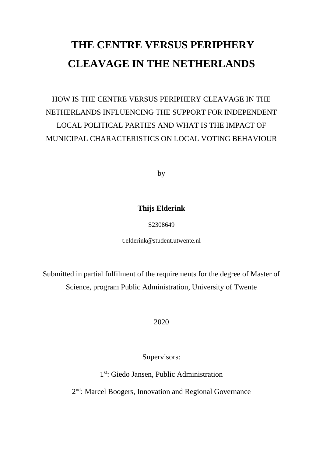# **THE CENTRE VERSUS PERIPHERY CLEAVAGE IN THE NETHERLANDS**

HOW IS THE CENTRE VERSUS PERIPHERY CLEAVAGE IN THE NETHERLANDS INFLUENCING THE SUPPORT FOR INDEPENDENT LOCAL POLITICAL PARTIES AND WHAT IS THE IMPACT OF MUNICIPAL CHARACTERISTICS ON LOCAL VOTING BEHAVIOUR

by

# **Thijs Elderink**

# S2308649

t.elderink@student.utwente.nl

Submitted in partial fulfilment of the requirements for the degree of Master of Science, program Public Administration, University of Twente

2020

Supervisors:

1 st: Giedo Jansen, Public Administration

2<sup>nd</sup>: Marcel Boogers, Innovation and Regional Governance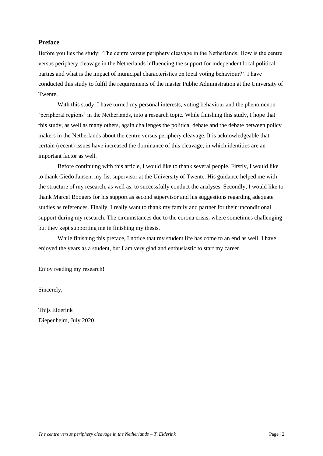# <span id="page-1-0"></span>**Preface**

Before you lies the study: 'The centre versus periphery cleavage in the Netherlands; How is the centre versus periphery cleavage in the Netherlands influencing the support for independent local political parties and what is the impact of municipal characteristics on local voting behaviour?'. I have conducted this study to fulfil the requirements of the master Public Administration at the University of Twente.

With this study, I have turned my personal interests, voting behaviour and the phenomenon 'peripheral regions' in the Netherlands, into a research topic. While finishing this study, I hope that this study, as well as many others, again challenges the political debate and the debate between policy makers in the Netherlands about the centre versus periphery cleavage. It is acknowledgeable that certain (recent) issues have increased the dominance of this cleavage, in which identities are an important factor as well.

Before continuing with this article, I would like to thank several people. Firstly, I would like to thank Giedo Jansen, my fist supervisor at the University of Twente. His guidance helped me with the structure of my research, as well as, to successfully conduct the analyses. Secondly, I would like to thank Marcel Boogers for his support as second supervisor and his suggestions regarding adequate studies as references. Finally, I really want to thank my family and partner for their unconditional support during my research. The circumstances due to the corona crisis, where sometimes challenging but they kept supporting me in finishing my thesis.

While finishing this preface, I notice that my student life has come to an end as well. I have enjoyed the years as a student, but I am very glad and enthusiastic to start my career.

Enjoy reading my research!

Sincerely,

Thijs Elderink Diepenheim, July 2020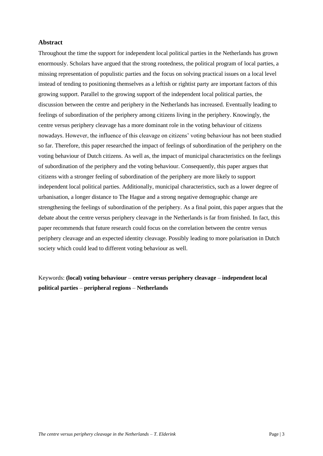# **Abstract**

Throughout the time the support for independent local political parties in the Netherlands has grown enormously. Scholars have argued that the strong rootedness, the political program of local parties, a missing representation of populistic parties and the focus on solving practical issues on a local level instead of tending to positioning themselves as a leftish or rightist party are important factors of this growing support. Parallel to the growing support of the independent local political parties, the discussion between the centre and periphery in the Netherlands has increased. Eventually leading to feelings of subordination of the periphery among citizens living in the periphery. Knowingly, the centre versus periphery cleavage has a more dominant role in the voting behaviour of citizens nowadays. However, the influence of this cleavage on citizens' voting behaviour has not been studied so far. Therefore, this paper researched the impact of feelings of subordination of the periphery on the voting behaviour of Dutch citizens. As well as, the impact of municipal characteristics on the feelings of subordination of the periphery and the voting behaviour. Consequently, this paper argues that citizens with a stronger feeling of subordination of the periphery are more likely to support independent local political parties. Additionally, municipal characteristics, such as a lower degree of urbanisation, a longer distance to The Hague and a strong negative demographic change are strengthening the feelings of subordination of the periphery. As a final point, this paper argues that the debate about the centre versus periphery cleavage in the Netherlands is far from finished. In fact, this paper recommends that future research could focus on the correlation between the centre versus periphery cleavage and an expected identity cleavage. Possibly leading to more polarisation in Dutch society which could lead to different voting behaviour as well.

Keywords: **(local) voting behaviour** – **centre versus periphery cleavage** – **independent local political parties** – **peripheral regions** – **Netherlands**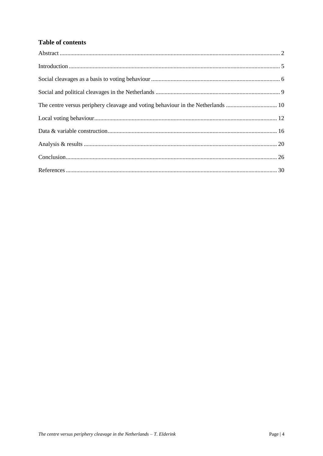# **Table of contents**

| The centre versus periphery cleavage and voting behaviour in the Netherlands  10 |  |
|----------------------------------------------------------------------------------|--|
|                                                                                  |  |
|                                                                                  |  |
|                                                                                  |  |
|                                                                                  |  |
|                                                                                  |  |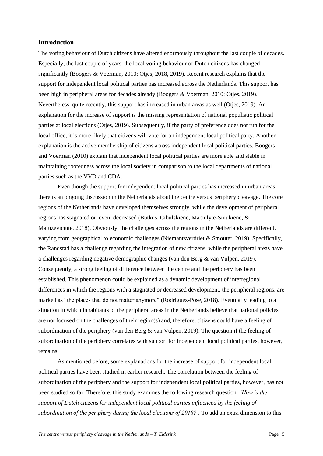#### <span id="page-4-0"></span>**Introduction**

The voting behaviour of Dutch citizens have altered enormously throughout the last couple of decades. Especially, the last couple of years, the local voting behaviour of Dutch citizens has changed significantly (Boogers & Voerman, 2010; Otjes, 2018, 2019). Recent research explains that the support for independent local political parties has increased across the Netherlands. This support has been high in peripheral areas for decades already (Boogers & Voerman, 2010; Otjes, 2019). Nevertheless, quite recently, this support has increased in urban areas as well (Otjes, 2019). An explanation for the increase of support is the missing representation of national populistic political parties at local elections (Otjes, 2019). Subsequently, if the party of preference does not run for the local office, it is more likely that citizens will vote for an independent local political party. Another explanation is the active membership of citizens across independent local political parties. Boogers and Voerman (2010) explain that independent local political parties are more able and stable in maintaining rootedness across the local society in comparison to the local departments of national parties such as the VVD and CDA.

Even though the support for independent local political parties has increased in urban areas, there is an ongoing discussion in the Netherlands about the centre versus periphery cleavage. The core regions of the Netherlands have developed themselves strongly, while the development of peripheral regions has stagnated or, even, decreased (Butkus, Cibulskiene, Maciulyte-Sniukiene, & Matuzeviciute, 2018). Obviously, the challenges across the regions in the Netherlands are different, varying from geographical to economic challenges (Niemantsverdriet & Smouter, 2019). Specifically, the Randstad has a challenge regarding the integration of new citizens, while the peripheral areas have a challenges regarding negative demographic changes (van den Berg & van Vulpen, 2019). Consequently, a strong feeling of difference between the centre and the periphery has been established. This phenomenon could be explained as a dynamic development of interregional differences in which the regions with a stagnated or decreased development, the peripheral regions, are marked as "the places that do not matter anymore" (Rodríguez-Pose, 2018). Eventually leading to a situation in which inhabitants of the peripheral areas in the Netherlands believe that national policies are not focused on the challenges of their region(s) and, therefore, citizens could have a feeling of subordination of the periphery (van den Berg  $\&$  van Vulpen, 2019). The question if the feeling of subordination of the periphery correlates with support for independent local political parties, however, remains.

As mentioned before, some explanations for the increase of support for independent local political parties have been studied in earlier research. The correlation between the feeling of subordination of the periphery and the support for independent local political parties, however, has not been studied so far. Therefore, this study examines the following research question: *'How is the support of Dutch citizens for independent local political parties influenced by the feeling of subordination of the periphery during the local elections of 2018?'.* To add an extra dimension to this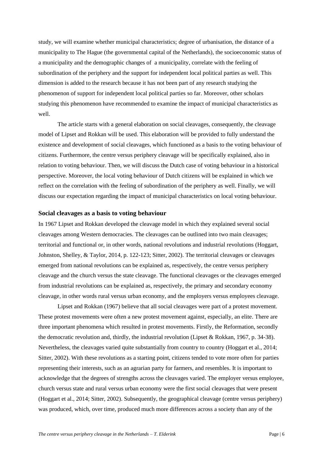study, we will examine whether municipal characteristics; degree of urbanisation, the distance of a municipality to The Hague (the governmental capital of the Netherlands), the socioeconomic status of a municipality and the demographic changes of a municipality, correlate with the feeling of subordination of the periphery and the support for independent local political parties as well. This dimension is added to the research because it has not been part of any research studying the phenomenon of support for independent local political parties so far. Moreover, other scholars studying this phenomenon have recommended to examine the impact of municipal characteristics as well.

The article starts with a general elaboration on social cleavages, consequently, the cleavage model of Lipset and Rokkan will be used. This elaboration will be provided to fully understand the existence and development of social cleavages, which functioned as a basis to the voting behaviour of citizens. Furthermore, the centre versus periphery cleavage will be specifically explained, also in relation to voting behaviour. Then, we will discuss the Dutch case of voting behaviour in a historical perspective. Moreover, the local voting behaviour of Dutch citizens will be explained in which we reflect on the correlation with the feeling of subordination of the periphery as well. Finally, we will discuss our expectation regarding the impact of municipal characteristics on local voting behaviour.

#### <span id="page-5-0"></span>**Social cleavages as a basis to voting behaviour**

In 1967 Lipset and Rokkan developed the cleavage model in which they explained several social cleavages among Western democracies. The cleavages can be outlined into two main cleavages; territorial and functional or, in other words, national revolutions and industrial revolutions (Hoggart, Johnston, Shelley, & Taylor, 2014, p. 122-123; Sitter, 2002). The territorial cleavages or cleavages emerged from national revolutions can be explained as, respectively, the centre versus periphery cleavage and the church versus the state cleavage. The functional cleavages or the cleavages emerged from industrial revolutions can be explained as, respectively, the primary and secondary economy cleavage, in other words rural versus urban economy, and the employers versus employees cleavage.

Lipset and Rokkan (1967) believe that all social cleavages were part of a protest movement. These protest movements were often a new protest movement against, especially, an elite. There are three important phenomena which resulted in protest movements. Firstly, the Reformation, secondly the democratic revolution and, thirdly, the industrial revolution (Lipset & Rokkan, 1967, p. 34-38). Nevertheless, the cleavages varied quite substantially from country to country (Hoggart et al., 2014; Sitter, 2002). With these revolutions as a starting point, citizens tended to vote more often for parties representing their interests, such as an agrarian party for farmers, and resembles. It is important to acknowledge that the degrees of strengths across the cleavages varied. The employer versus employee, church versus state and rural versus urban economy were the first social cleavages that were present (Hoggart et al., 2014; Sitter, 2002). Subsequently, the geographical cleavage (centre versus periphery) was produced, which, over time, produced much more differences across a society than any of the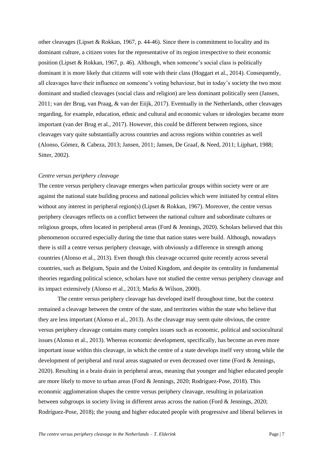other cleavages (Lipset & Rokkan, 1967, p. 44-46). Since there is commitment to locality and its dominant culture, a citizen votes for the representative of its region irrespective to their economic position (Lipset & Rokkan, 1967, p. 46). Although, when someone's social class is politically dominant it is more likely that citizens will vote with their class (Hoggart et al., 2014). Consequently, all cleavages have their influence on someone's voting behaviour, but in today's society the two most dominant and studied cleavages (social class and religion) are less dominant politically seen (Jansen, 2011; van der Brug, van Praag, & van der Eiijk, 2017). Eventually in the Netherlands, other cleavages regarding, for example, education, ethnic and cultural and economic values or ideologies became more important (van der Brug et al., 2017). However, this could be different between regions, since cleavages vary quite substantially across countries and across regions within countries as well (Alonso, Gómez, & Cabeza, 2013; Jansen, 2011; Jansen, De Graaf, & Need, 2011; Lijphart, 1988; Sitter, 2002).

#### *Centre versus periphery cleavage*

The centre versus periphery cleavage emerges when particular groups within society were or are against the national state building process and national policies which were initiated by central elites without any interest in peripheral region(s) (Lipset & Rokkan, 1967). Moreover, the centre versus periphery cleavages reflects on a conflict between the national culture and subordinate cultures or religious groups, often located in peripheral areas (Ford & Jennings, 2020). Scholars believed that this phenomenon occurred especially during the time that nation states were build. Although, nowadays there is still a centre versus periphery cleavage, with obviously a difference in strength among countries (Alonso et al., 2013). Even though this cleavage occurred quite recently across several countries, such as Belgium, Spain and the United Kingdom, and despite its centrality in fundamental theories regarding political science, scholars have not studied the centre versus periphery cleavage and its impact extensively (Alonso et al., 2013; Marks & Wilson, 2000).

The centre versus periphery cleavage has developed itself throughout time, but the context remained a cleavage between the centre of the state, and territories within the state who believe that they are less important (Alonso et al., 2013). As the cleavage may seem quite obvious, the centre versus periphery cleavage contains many complex issues such as economic, political and sociocultural issues (Alonso et al., 2013). Whereas economic development, specifically, has become an even more important issue within this cleavage, in which the centre of a state develops itself very strong while the development of peripheral and rural areas stagnated or even decreased over time (Ford & Jennings, 2020). Resulting in a brain drain in peripheral areas, meaning that younger and higher educated people are more likely to move to urban areas (Ford & Jennings, 2020; Rodríguez-Pose, 2018). This economic agglomeration shapes the centre versus periphery cleavage, resulting in polarization between subgroups in society living in different areas across the nation (Ford & Jennings, 2020; Rodríguez-Pose, 2018); the young and higher educated people with progressive and liberal believes in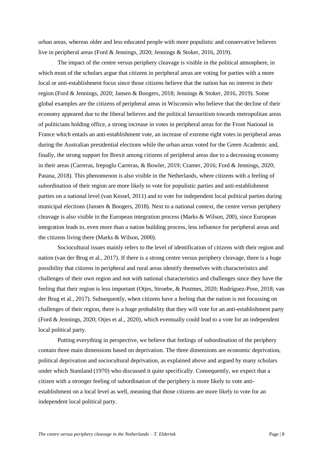urban areas, whereas older and less educated people with more populistic and conservative believes live in peripheral areas (Ford & Jennings, 2020; Jennings & Stoker, 2016, 2019).

The impact of the centre versus periphery cleavage is visible in the political atmosphere, in which most of the scholars argue that citizens in peripheral areas are voting for parties with a more local or anti-establishment focus since those citizens believe that the nation has no interest in their region (Ford & Jennings, 2020; Jansen & Boogers, 2018; Jennings & Stoker, 2016, 2019). Some global examples are the citizens of peripheral areas in Wisconsin who believe that the decline of their economy appeared due to the liberal believes and the political favouritism towards metropolitan areas of politicians holding office, a strong increase in votes in peripheral areas for the Front National in France which entails an anti-establishment vote, an increase of extreme right votes in peripheral areas during the Australian presidential elections while the urban areas voted for the Green Academic and, finally, the strong support for Brexit among citizens of peripheral areas due to a decreasing economy in their areas (Carreras, Irepoglu Carreras, & Bowler, 2019; Cramer, 2016; Ford & Jennings, 2020; Patana, 2018). This phenomenon is also visible in the Netherlands, where citizens with a feeling of subordination of their region are more likely to vote for populistic parties and anti-establishment parties on a national level (van Kessel, 2011) and to vote for independent local political parties during municipal elections (Jansen & Boogers, 2018). Next to a national context, the centre versus periphery cleavage is also visible in the European integration process (Marks & Wilson, 200), since European integration leads to, even more than a nation building process, less influence for peripheral areas and the citizens living there (Marks & Wilson, 2000).

Sociocultural issues mainly refers to the level of identification of citizens with their region and nation (van der Brug et al., 2017). If there is a strong centre versus periphery cleavage, there is a huge possibility that citizens in peripheral and rural areas identify themselves with characteristics and challenges of their own region and not with national characteristics and challenges since they have the feeling that their region is less important (Otjes, Stroebe, & Postmes, 2020; Rodríguez-Pose, 2018; van der Brug et al., 2017). Subsequently, when citizens have a feeling that the nation is not focussing on challenges of their region, there is a huge probability that they will vote for an anti-establishment party (Ford & Jennings, 2020; Otjes et al., 2020), which eventually could lead to a vote for an independent local political party.

Putting everything in perspective, we believe that feelings of subordination of the periphery contain three main dimensions based on deprivation. The three dimensions are economic deprivation, political deprivation and sociocultural deprivation, as explained above and argued by many scholars under which Staniland (1970) who discussed it quite specifically. Consequently, we expect that a citizen with a stronger feeling of subordination of the periphery is more likely to vote antiestablishment on a local level as well, meaning that those citizens are more likely to vote for an independent local political party.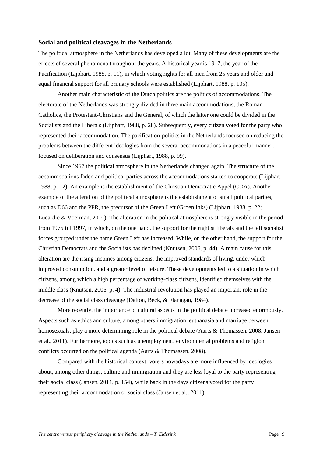#### <span id="page-8-0"></span>**Social and political cleavages in the Netherlands**

The political atmosphere in the Netherlands has developed a lot. Many of these developments are the effects of several phenomena throughout the years. A historical year is 1917, the year of the Pacification (Lijphart, 1988, p. 11), in which voting rights for all men from 25 years and older and equal financial support for all primary schools were established (Lijphart, 1988, p. 105).

Another main characteristic of the Dutch politics are the politics of accommodations. The electorate of the Netherlands was strongly divided in three main accommodations; the Roman-Catholics, the Protestant-Christians and the General, of which the latter one could be divided in the Socialists and the Liberals (Lijphart, 1988, p. 28). Subsequently, every citizen voted for the party who represented their accommodation. The pacification-politics in the Netherlands focused on reducing the problems between the different ideologies from the several accommodations in a peaceful manner, focused on deliberation and consensus (Lijphart, 1988, p. 99).

Since 1967 the political atmosphere in the Netherlands changed again. The structure of the accommodations faded and political parties across the accommodations started to cooperate (Lijphart, 1988, p. 12). An example is the establishment of the Christian Democratic Appel (CDA). Another example of the alteration of the political atmosphere is the establishment of small political parties, such as D66 and the PPR, the precursor of the Green Left (Groenlinks) (Lijphart, 1988, p. 22; Lucardie & Voerman, 2010). The alteration in the political atmosphere is strongly visible in the period from 1975 till 1997, in which, on the one hand, the support for the rightist liberals and the left socialist forces grouped under the name Green Left has increased. While, on the other hand, the support for the Christian Democrats and the Socialists has declined (Knutsen, 2006, p. 44). A main cause for this alteration are the rising incomes among citizens, the improved standards of living, under which improved consumption, and a greater level of leisure. These developments led to a situation in which citizens, among which a high percentage of working-class citizens, identified themselves with the middle class (Knutsen, 2006, p. 4). The industrial revolution has played an important role in the decrease of the social class cleavage (Dalton, Beck, & Flanagan, 1984).

More recently, the importance of cultural aspects in the political debate increased enormously. Aspects such as ethics and culture, among others immigration, euthanasia and marriage between homosexuals, play a more determining role in the political debate (Aarts & Thomassen, 2008; Jansen et al., 2011). Furthermore, topics such as unemployment, environmental problems and religion conflicts occurred on the political agenda (Aarts & Thomassen, 2008).

Compared with the historical context, voters nowadays are more influenced by ideologies about, among other things, culture and immigration and they are less loyal to the party representing their social class (Jansen, 2011, p. 154), while back in the days citizens voted for the party representing their accommodation or social class (Jansen et al., 2011).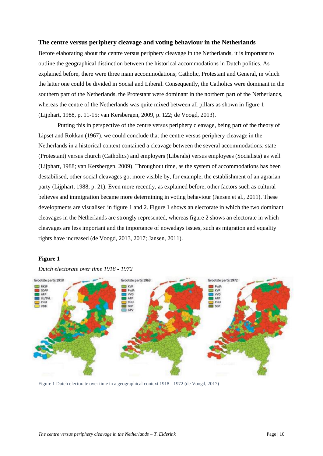#### <span id="page-9-0"></span>**The centre versus periphery cleavage and voting behaviour in the Netherlands**

Before elaborating about the centre versus periphery cleavage in the Netherlands, it is important to outline the geographical distinction between the historical accommodations in Dutch politics. As explained before, there were three main accommodations; Catholic, Protestant and General, in which the latter one could be divided in Social and Liberal. Consequently, the Catholics were dominant in the southern part of the Netherlands, the Protestant were dominant in the northern part of the Netherlands, whereas the centre of the Netherlands was quite mixed between all pillars as shown in figure 1 (Lijphart, 1988, p. 11-15; van Kersbergen, 2009, p. 122; de Voogd, 2013).

Putting this in perspective of the centre versus periphery cleavage, being part of the theory of Lipset and Rokkan (1967), we could conclude that the centre versus periphery cleavage in the Netherlands in a historical context contained a cleavage between the several accommodations; state (Protestant) versus church (Catholics) and employers (Liberals) versus employees (Socialists) as well (Lijphart, 1988; van Kersbergen, 2009). Throughout time, as the system of accommodations has been destabilised, other social cleavages got more visible by, for example, the establishment of an agrarian party (Lijphart, 1988, p. 21). Even more recently, as explained before, other factors such as cultural believes and immigration became more determining in voting behaviour (Jansen et al., 2011). These developments are visualised in figure 1 and 2. Figure 1 shows an electorate in which the two dominant cleavages in the Netherlands are strongly represented, whereas figure 2 shows an electorate in which cleavages are less important and the importance of nowadays issues, such as migration and equality rights have increased (de Voogd, 2013, 2017; Jansen, 2011).

#### **Figure 1**

*Dutch electorate over time 1918 - 1972*



Figure 1 Dutch electorate over time in a geographical context 1918 - 1972 (de Voogd, 2017)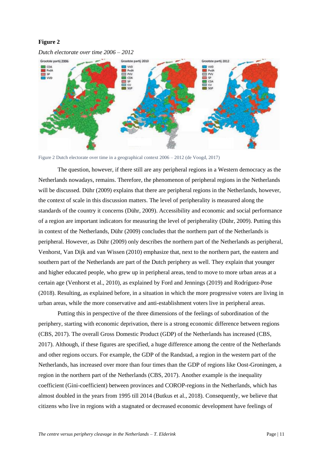# **Figure 2**



*Dutch electorate over time 2006 – 2012*

Figure 2 Dutch electorate over time in a geographical context 2006 – 2012 (de Voogd, 2017)

The question, however, if there still are any peripheral regions in a Western democracy as the Netherlands nowadays, remains. Therefore, the phenomenon of peripheral regions in the Netherlands will be discussed. Dühr (2009) explains that there are peripheral regions in the Netherlands, however, the context of scale in this discussion matters. The level of peripherality is measured along the standards of the country it concerns (Dühr, 2009). Accessibility and economic and social performance of a region are important indicators for measuring the level of peripherality (Dühr, 2009). Putting this in context of the Netherlands, Dühr (2009) concludes that the northern part of the Netherlands is peripheral. However, as Dühr (2009) only describes the northern part of the Netherlands as peripheral, Venhorst, Van Dijk and van Wissen (2010) emphasize that, next to the northern part, the eastern and southern part of the Netherlands are part of the Dutch periphery as well. They explain that younger and higher educated people, who grew up in peripheral areas, tend to move to more urban areas at a certain age (Venhorst et al., 2010), as explained by Ford and Jennings (2019) and Rodríguez-Pose (2018). Resulting, as explained before, in a situation in which the more progressive voters are living in urban areas, while the more conservative and anti-establishment voters live in peripheral areas.

Putting this in perspective of the three dimensions of the feelings of subordination of the periphery, starting with economic deprivation, there is a strong economic difference between regions (CBS, 2017). The overall Gross Domestic Product (GDP) of the Netherlands has increased (CBS, 2017). Although, if these figures are specified, a huge difference among the centre of the Netherlands and other regions occurs. For example, the GDP of the Randstad, a region in the western part of the Netherlands, has increased over more than four times than the GDP of regions like Oost-Groningen, a region in the northern part of the Netherlands (CBS, 2017). Another example is the inequality coefficient (Gini-coefficient) between provinces and COROP-regions in the Netherlands, which has almost doubled in the years from 1995 till 2014 (Butkus et al., 2018). Consequently, we believe that citizens who live in regions with a stagnated or decreased economic development have feelings of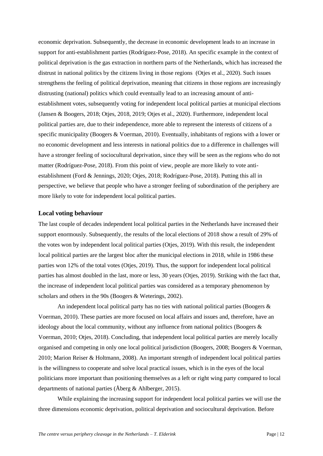economic deprivation. Subsequently, the decrease in economic development leads to an increase in support for anti-establishment parties (Rodríguez-Pose, 2018). An specific example in the context of political deprivation is the gas extraction in northern parts of the Netherlands, which has increased the distrust in national politics by the citizens living in those regions (Otjes et al., 2020). Such issues strengthens the feeling of political deprivation, meaning that citizens in those regions are increasingly distrusting (national) politics which could eventually lead to an increasing amount of antiestablishment votes, subsequently voting for independent local political parties at municipal elections (Jansen & Boogers, 2018; Otjes, 2018, 2019; Otjes et al., 2020). Furthermore, independent local political parties are, due to their independence, more able to represent the interests of citizens of a specific municipality (Boogers & Voerman, 2010). Eventually, inhabitants of regions with a lower or no economic development and less interests in national politics due to a difference in challenges will have a stronger feeling of sociocultural deprivation, since they will be seen as the regions who do not matter (Rodríguez-Pose, 2018). From this point of view, people are more likely to vote antiestablishment (Ford & Jennings, 2020; Otjes, 2018; Rodríguez-Pose, 2018). Putting this all in perspective, we believe that people who have a stronger feeling of subordination of the periphery are more likely to vote for independent local political parties.

# <span id="page-11-0"></span>**Local voting behaviour**

The last couple of decades independent local political parties in the Netherlands have increased their support enormously. Subsequently, the results of the local elections of 2018 show a result of 29% of the votes won by independent local political parties (Otjes, 2019). With this result, the independent local political parties are the largest bloc after the municipal elections in 2018, while in 1986 these parties won 12% of the total votes (Otjes, 2019). Thus, the support for independent local political parties has almost doubled in the last, more or less, 30 years (Otjes, 2019). Striking with the fact that, the increase of independent local political parties was considered as a temporary phenomenon by scholars and others in the 90s (Boogers & Weterings, 2002).

An independent local political party has no ties with national political parties (Boogers & Voerman, 2010). These parties are more focused on local affairs and issues and, therefore, have an ideology about the local community, without any influence from national politics (Boogers & Voerman, 2010; Otjes, 2018). Concluding, that independent local political parties are merely locally organised and competing in only one local political jurisdiction (Boogers, 2008; Boogers & Voerman, 2010; Marion Reiser & Holtmann, 2008). An important strength of independent local political parties is the willingness to cooperate and solve local practical issues, which is in the eyes of the local politicians more important than positioning themselves as a left or right wing party compared to local departments of national parties (Åberg & Ahlberger, 2015).

While explaining the increasing support for independent local political parties we will use the three dimensions economic deprivation, political deprivation and sociocultural deprivation. Before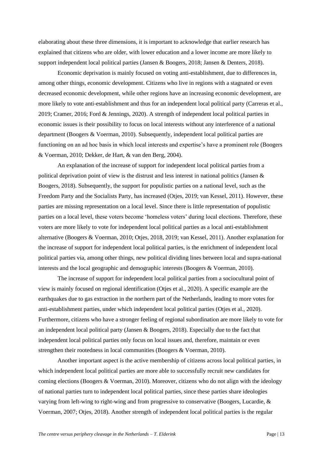elaborating about these three dimensions, it is important to acknowledge that earlier research has explained that citizens who are older, with lower education and a lower income are more likely to support independent local political parties (Jansen & Boogers, 2018; Jansen & Denters, 2018).

Economic deprivation is mainly focused on voting anti-establishment, due to differences in, among other things, economic development. Citizens who live in regions with a stagnated or even decreased economic development, while other regions have an increasing economic development, are more likely to vote anti-establishment and thus for an independent local political party (Carreras et al., 2019; Cramer, 2016; Ford & Jennings, 2020). A strength of independent local political parties in economic issues is their possibility to focus on local interests without any interference of a national department (Boogers & Voerman, 2010). Subsequently, independent local political parties are functioning on an ad hoc basis in which local interests and expertise's have a prominent role (Boogers & Voerman, 2010; Dekker, de Hart, & van den Berg, 2004).

An explanation of the increase of support for independent local political parties from a political deprivation point of view is the distrust and less interest in national politics (Jansen & Boogers, 2018). Subsequently, the support for populistic parties on a national level, such as the Freedom Party and the Socialists Party, has increased (Otjes, 2019; van Kessel, 2011). However, these parties are missing representation on a local level. Since there is little representation of populistic parties on a local level, these voters become 'homeless voters' during local elections. Therefore, these voters are more likely to vote for independent local political parties as a local anti-establishment alternative (Boogers & Voerman, 2010; Otjes, 2018, 2019; van Kessel, 2011). Another explanation for the increase of support for independent local political parties, is the enrichment of independent local political parties via, among other things, new political dividing lines between local and supra-national interests and the local geographic and demographic interests (Boogers & Voerman, 2010).

The increase of support for independent local political parties from a sociocultural point of view is mainly focused on regional identification (Otjes et al., 2020). A specific example are the earthquakes due to gas extraction in the northern part of the Netherlands, leading to more votes for anti-establishment parties, under which independent local political parties (Otjes et al., 2020). Furthermore, citizens who have a stronger feeling of regional subordination are more likely to vote for an independent local political party (Jansen & Boogers, 2018). Especially due to the fact that independent local political parties only focus on local issues and, therefore, maintain or even strengthen their rootedness in local communities (Boogers & Voerman, 2010).

Another important aspect is the active membership of citizens across local political parties, in which independent local political parties are more able to successfully recruit new candidates for coming elections (Boogers & Voerman, 2010). Moreover, citizens who do not align with the ideology of national parties turn to independent local political parties, since these parties share ideologies varying from left-wing to right-wing and from progressive to conservative (Boogers, Lucardie, & Voerman, 2007; Otjes, 2018). Another strength of independent local political parties is the regular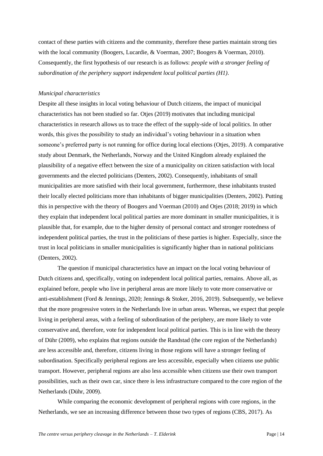contact of these parties with citizens and the community, therefore these parties maintain strong ties with the local community (Boogers, Lucardie, & Voerman, 2007; Boogers & Voerman, 2010). Consequently, the first hypothesis of our research is as follows: *people with a stronger feeling of subordination of the periphery support independent local political parties (H1)*.

#### *Municipal characteristics*

Despite all these insights in local voting behaviour of Dutch citizens, the impact of municipal characteristics has not been studied so far. Otjes (2019) motivates that including municipal characteristics in research allows us to trace the effect of the supply-side of local politics. In other words, this gives the possibility to study an individual's voting behaviour in a situation when someone's preferred party is not running for office during local elections (Otjes, 2019). A comparative study about Denmark, the Netherlands, Norway and the United Kingdom already explained the plausibility of a negative effect between the size of a municipality on citizen satisfaction with local governments and the elected politicians (Denters, 2002). Consequently, inhabitants of small municipalities are more satisfied with their local government, furthermore, these inhabitants trusted their locally elected politicians more than inhabitants of bigger municipalities (Denters, 2002). Putting this in perspective with the theory of Boogers and Voerman (2010) and Otjes (2018; 2019) in which they explain that independent local political parties are more dominant in smaller municipalities, it is plausible that, for example, due to the higher density of personal contact and stronger rootedness of independent political parties, the trust in the politicians of these parties is higher. Especially, since the trust in local politicians in smaller municipalities is significantly higher than in national politicians (Denters, 2002).

The question if municipal characteristics have an impact on the local voting behaviour of Dutch citizens and, specifically, voting on independent local political parties, remains. Above all, as explained before, people who live in peripheral areas are more likely to vote more conservative or anti-establishment (Ford & Jennings, 2020; Jennings & Stoker, 2016, 2019). Subsequently, we believe that the more progressive voters in the Netherlands live in urban areas. Whereas, we expect that people living in peripheral areas, with a feeling of subordination of the periphery, are more likely to vote conservative and, therefore, vote for independent local political parties. This is in line with the theory of Dühr (2009), who explains that regions outside the Randstad (the core region of the Netherlands) are less accessible and, therefore, citizens living in those regions will have a stronger feeling of subordination. Specifically peripheral regions are less accessible, especially when citizens use public transport. However, peripheral regions are also less accessible when citizens use their own transport possibilities, such as their own car, since there is less infrastructure compared to the core region of the Netherlands (Dühr, 2009).

While comparing the economic development of peripheral regions with core regions, in the Netherlands, we see an increasing difference between those two types of regions (CBS, 2017). As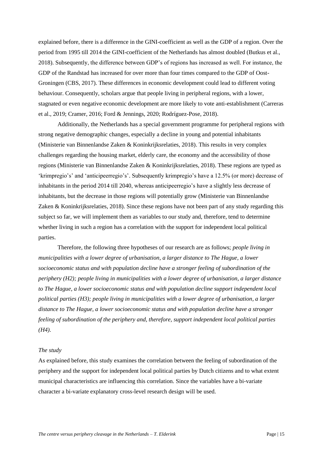explained before, there is a difference in the GINI-coefficient as well as the GDP of a region. Over the period from 1995 till 2014 the GINI-coefficient of the Netherlands has almost doubled (Butkus et al., 2018). Subsequently, the difference between GDP's of regions has increased as well. For instance, the GDP of the Randstad has increased for over more than four times compared to the GDP of Oost-Groningen (CBS, 2017). These differences in economic development could lead to different voting behaviour. Consequently, scholars argue that people living in peripheral regions, with a lower, stagnated or even negative economic development are more likely to vote anti-establishment (Carreras et al., 2019; Cramer, 2016; Ford & Jennings, 2020; Rodríguez-Pose, 2018).

Additionally, the Netherlands has a special government programme for peripheral regions with strong negative demographic changes, especially a decline in young and potential inhabitants (Ministerie van Binnenlandse Zaken & Koninkrijksrelaties, 2018). This results in very complex challenges regarding the housing market, elderly care, the economy and the accessibility of those regions (Ministerie van Binnenlandse Zaken & Koninkrijksrelaties, 2018). These regions are typed as 'krimpregio's' and 'anticipeerregio's'. Subsequently krimpregio's have a 12.5% (or more) decrease of inhabitants in the period 2014 till 2040, whereas anticipeerregio's have a slightly less decrease of inhabitants, but the decrease in those regions will potentially grow (Ministerie van Binnenlandse Zaken & Koninkrijksrelaties, 2018). Since these regions have not been part of any study regarding this subject so far, we will implement them as variables to our study and, therefore, tend to determine whether living in such a region has a correlation with the support for independent local political parties.

Therefore, the following three hypotheses of our research are as follows; *people living in municipalities with a lower degree of urbanisation, a larger distance to The Hague, a lower socioeconomic status and with population decline have a stronger feeling of subordination of the periphery (H2); people living in municipalities with a lower degree of urbanisation, a larger distance to The Hague, a lower socioeconomic status and with population decline support independent local political parties (H3); people living in municipalities with a lower degree of urbanisation, a larger distance to The Hague, a lower socioeconomic status and with population decline have a stronger feeling of subordination of the periphery and, therefore, support independent local political parties (H4).* 

#### *The study*

As explained before, this study examines the correlation between the feeling of subordination of the periphery and the support for independent local political parties by Dutch citizens and to what extent municipal characteristics are influencing this correlation. Since the variables have a bi-variate character a bi-variate explanatory cross-level research design will be used.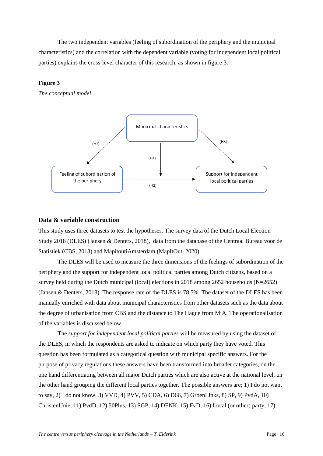The two independent variables (feeling of subordination of the periphery and the municipal characteristics) and the correlation with the dependent variable (voting for independent local political parties) explains the cross-level character of this research, as shown in figure 3.

# **Figure 3**

*The conceptual model*



#### <span id="page-15-0"></span>**Data & variable construction**

This study uses three datasets to test the hypotheses. The survey data of the Dutch Local Election Study 2018 (DLES) (Jansen & Denters, 2018), data from the database of the Centraal Bureau voor de Statistiek (CBS, 2018) and MapitoutiAmsterdam (MapItOut, 2020).

The DLES will be used to measure the three dimensions of the feelings of subordination of the periphery and the support for independent local political parties among Dutch citizens, based on a survey held during the Dutch municipal (local) elections in 2018 among 2652 households (N=2652) (Jansen & Denters, 2018). The response rate of the DLES is 78.5%. The dataset of the DLES has been manually enriched with data about municipal characteristics from other datasets such as the data about the degree of urbanisation from CBS and the distance to The Hague from MiA. The operationalisation of the variables is discussed below.

The *support for independent local political parties* will be measured by using the dataset of the DLES, in which the respondents are asked to indicate on which party they have voted. This question has been formulated as a categorical question with municipal specific answers. For the purpose of privacy regulations these answers have been transformed into broader categories, on the one hand differentiating between all major Dutch parties which are also active at the national level, on the other hand grouping the different local parties together. The possible answers are; 1) I do not want to say, 2) I do not know, 3) VVD, 4) PVV, 5) CDA, 6) D66, 7) GroenLinks, 8) SP, 9) PvdA, 10) ChristenUnie, 11) PvdD, 12) 50Plus, 13) SGP, 14) DENK, 15) FvD, 16) Local (or other) party, 17)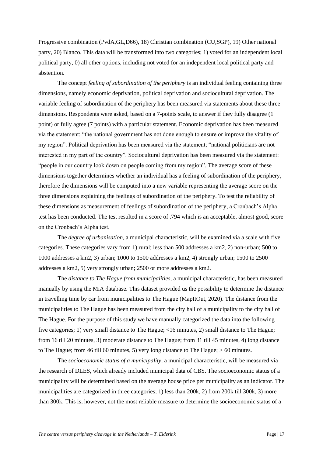Progressive combination (PvdA,GL,D66), 18) Christian combination (CU,SGP), 19) Other national party, 20) Blanco. This data will be transformed into two categories; 1) voted for an independent local political party, 0) all other options, including not voted for an independent local political party and abstention.

The concept *feeling of subordination of the periphery* is an individual feeling containing three dimensions, namely economic deprivation, political deprivation and sociocultural deprivation. The variable feeling of subordination of the periphery has been measured via statements about these three dimensions. Respondents were asked, based on a 7-points scale, to answer if they fully disagree (1 point) or fully agree (7 points) with a particular statement. Economic deprivation has been measured via the statement: "the national government has not done enough to ensure or improve the vitality of my region". Political deprivation has been measured via the statement; "national politicians are not interested in my part of the country". Sociocultural deprivation has been measured via the statement: "people in our country look down on people coming from my region". The average score of these dimensions together determines whether an individual has a feeling of subordination of the periphery, therefore the dimensions will be computed into a new variable representing the average score on the three dimensions explaining the feelings of subordination of the periphery. To test the reliability of these dimensions as measurement of feelings of subordination of the periphery, a Cronbach's Alpha test has been conducted. The test resulted in a score of .794 which is an acceptable, almost good, score on the Cronbach's Alpha test.

The *degree of urbanisation*, a municipal characteristic, will be examined via a scale with five categories. These categories vary from 1) rural; less than 500 addresses a km2, 2) non-urban; 500 to 1000 addresses a km2, 3) urban; 1000 to 1500 addresses a km2, 4) strongly urban; 1500 to 2500 addresses a km2, 5) very strongly urban; 2500 or more addresses a km2.

The *distance to The Hague from municipalities*, a municipal characteristic, has been measured manually by using the MiA database. This dataset provided us the possibility to determine the distance in travelling time by car from municipalities to The Hague (MapItOut, 2020). The distance from the municipalities to The Hague has been measured from the city hall of a municipality to the city hall of The Hague. For the purpose of this study we have manually categorized the data into the following five categories; 1) very small distance to The Hague; <16 minutes, 2) small distance to The Hague; from 16 till 20 minutes, 3) moderate distance to The Hague; from 31 till 45 minutes, 4) long distance to The Hague; from 46 till 60 minutes, 5) very long distance to The Hague; > 60 minutes.

The *socioeconomic status of a municipality*, a municipal characteristic, will be measured via the research of DLES, which already included municipal data of CBS. The socioeconomic status of a municipality will be determined based on the average house price per municipality as an indicator. The municipalities are categorized in three categories; 1) less than 200k, 2) from 200k till 300k, 3) more than 300k. This is, however, not the most reliable measure to determine the socioeconomic status of a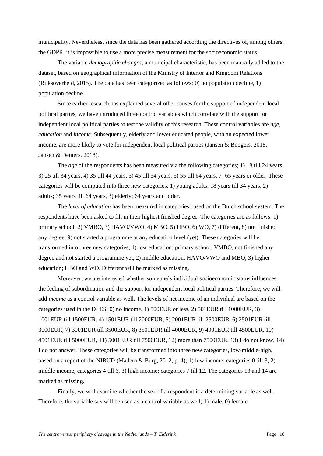municipality. Nevertheless, since the data has been gathered according the directives of, among others, the GDPR, it is impossible to use a more precise measurement for the socioeconomic status.

The variable *demographic changes,* a municipal characteristic, has been manually added to the dataset, based on geographical information of the Ministry of Interior and Kingdom Relations (Rijksoverheid, 2015). The data has been categorized as follows; 0) no population decline, 1) population decline.

Since earlier research has explained several other causes for the support of independent local political parties, we have introduced three control variables which correlate with the support for independent local political parties to test the validity of this research. These control variables are *age, education* and *income*. Subsequently, elderly and lower educated people, with an expected lower income, are more likely to vote for independent local political parties (Jansen & Boogers, 2018; Jansen & Denters, 2018).

The *age* of the respondents has been measured via the following categories; 1) 18 till 24 years, 3) 25 till 34 years, 4) 35 till 44 years, 5) 45 till 54 years, 6) 55 till 64 years, 7) 65 years or older. These categories will be computed into three new categories; 1) young adults; 18 years till 34 years, 2) adults; 35 years till 64 years, 3) elderly; 64 years and older.

The *level of education* has been measured in categories based on the Dutch school system. The respondents have been asked to fill in their highest finished degree. The categories are as follows: 1) primary school, 2) VMBO, 3) HAVO/VWO, 4) MBO, 5) HBO, 6) WO, 7) different, 8) not finished any degree, 9) not started a programme at any education level (yet). These categories will be transformed into three new categories; 1) low education; primary school, VMBO, not finished any degree and not started a programme yet, 2) middle education; HAVO/VWO and MBO, 3) higher education; HBO and WO. Different will be marked as missing.

Moreover, we are interested whether someone's individual socioeconomic status influences the feeling of subordination and the support for independent local political parties. Therefore, we will add *income* as a control variable as well. The levels of net income of an individual are based on the categories used in the DLES; 0) no income, 1) 500EUR or less, 2) 501EUR till 1000EUR, 3) 1001EUR till 1500EUR, 4) 1501EUR till 2000EUR, 5) 2001EUR till 2500EUR, 6) 2501EUR till 3000EUR, 7) 3001EUR till 3500EUR, 8) 3501EUR till 4000EUR, 9) 4001EUR till 4500EUR, 10) 4501EUR till 5000EUR, 11) 5001EUR till 7500EUR, 12) more than 7500EUR, 13) I do not know, 14) I do not answer. These categories will be transformed into three new categories, low-middle-high, based on a report of the NIBUD (Madern & Burg, 2012, p. 4); 1) low income; categories 0 till 3, 2) middle income; categories 4 till 6, 3) high income; categories 7 till 12. The categories 13 and 14 are marked as missing.

Finally, we will examine whether the sex of a respondent is a determining variable as well. Therefore, the variable sex will be used as a control variable as well; 1) male, 0) female.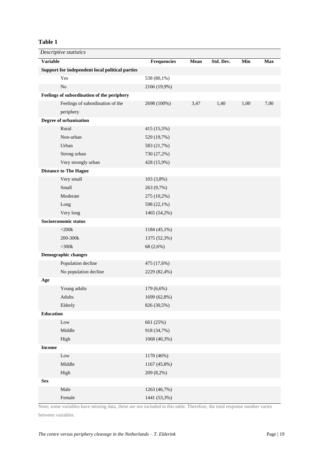# **Table 1**

| Descriptive statistics |                                                 |                    |      |           |      |            |  |  |
|------------------------|-------------------------------------------------|--------------------|------|-----------|------|------------|--|--|
| <b>Variable</b>        |                                                 | <b>Frequencies</b> | Mean | Std. Dev. | Min  | <b>Max</b> |  |  |
|                        | Support for independent local political parties |                    |      |           |      |            |  |  |
|                        | Yes                                             | 538 (80,1%)        |      |           |      |            |  |  |
|                        | N <sub>o</sub>                                  | 2166 (19,9%)       |      |           |      |            |  |  |
|                        | Feelings of subordination of the periphery      |                    |      |           |      |            |  |  |
|                        | Feelings of subordination of the                | 2698 (100%)        | 3,47 | 1,40      | 1,00 | 7,00       |  |  |
|                        | periphery                                       |                    |      |           |      |            |  |  |
|                        | Degree of urbanisation                          |                    |      |           |      |            |  |  |
|                        | Rural                                           | 415 (15,5%)        |      |           |      |            |  |  |
|                        | Non-urban                                       | 529 (19,7%)        |      |           |      |            |  |  |
|                        | Urban                                           | 583 (21,7%)        |      |           |      |            |  |  |
|                        | Strong urban                                    | 730 (27,2%)        |      |           |      |            |  |  |
|                        | Very strongly urban                             | 428 (15,9%)        |      |           |      |            |  |  |
|                        | <b>Distance to The Hague</b>                    |                    |      |           |      |            |  |  |
|                        | Very small                                      | 103 (3,8%)         |      |           |      |            |  |  |
|                        | Small                                           | 263 (9,7%)         |      |           |      |            |  |  |
|                        | Moderate                                        | 275 (10,2%)        |      |           |      |            |  |  |
|                        | Long                                            | 598 (22,1%)        |      |           |      |            |  |  |
|                        | Very long                                       | 1465 (54,2%)       |      |           |      |            |  |  |
|                        | Socioeconomic status                            |                    |      |           |      |            |  |  |
|                        | $<$ 200 $k$                                     | 1184 (45,1%)       |      |           |      |            |  |  |
|                        | 200-300k                                        | 1375 (52,3%)       |      |           |      |            |  |  |
|                        | $>300k$                                         | 68 (2,6%)          |      |           |      |            |  |  |
|                        | Demographic changes                             |                    |      |           |      |            |  |  |
|                        | Population decline                              | 475 (17,6%)        |      |           |      |            |  |  |
|                        | No population decline                           | 2229 (82,4%)       |      |           |      |            |  |  |
| Age                    |                                                 |                    |      |           |      |            |  |  |
|                        | Young adults                                    | 179 (6,6%)         |      |           |      |            |  |  |
|                        | Adults                                          | 1699 (62,8%)       |      |           |      |            |  |  |
|                        | Elderly                                         | 826 (30,5%)        |      |           |      |            |  |  |
| <b>Education</b>       |                                                 |                    |      |           |      |            |  |  |
|                        | Low                                             | 661 (25%)          |      |           |      |            |  |  |
|                        | Middle                                          | 918 (34,7%)        |      |           |      |            |  |  |
|                        | High                                            | 1068 (40,3%)       |      |           |      |            |  |  |
| <b>Income</b>          |                                                 |                    |      |           |      |            |  |  |
|                        | Low                                             | 1170 (46%)         |      |           |      |            |  |  |
|                        | Middle                                          | 1167 (45,8%)       |      |           |      |            |  |  |
|                        | High                                            | 209 (8,2%)         |      |           |      |            |  |  |
| <b>Sex</b>             |                                                 |                    |      |           |      |            |  |  |
|                        | Male                                            | 1263 (46,7%)       |      |           |      |            |  |  |
|                        | Female                                          | 1441 (53,3%)       |      |           |      |            |  |  |

Note; some variables have missing data, these are not included in this table. Therefore, the total response number varies between variables.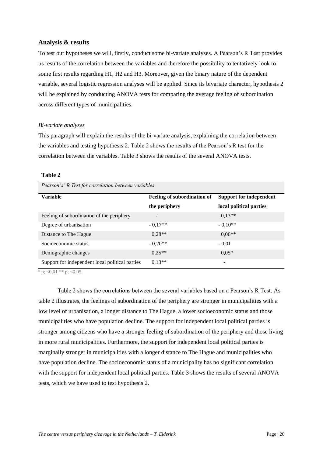# <span id="page-19-0"></span>**Analysis & results**

To test our hypotheses we will, firstly, conduct some bi-variate analyses. A Pearson's R Test provides us results of the correlation between the variables and therefore the possibility to tentatively look to some first results regarding H1, H2 and H3. Moreover, given the binary nature of the dependent variable, several logistic regression analyses will be applied. Since its bivariate character, hypothesis 2 will be explained by conducting ANOVA tests for comparing the average feeling of subordination across different types of municipalities.

#### *Bi-variate analyses*

This paragraph will explain the results of the bi-variate analysis, explaining the correlation between the variables and testing hypothesis 2. Table 2 shows the results of the Pearson's R test for the correlation between the variables. Table 3 shows the results of the several ANOVA tests.

#### **Table 2**

| Pearson s R Test for correlation between variables |                             |                         |  |  |  |  |  |
|----------------------------------------------------|-----------------------------|-------------------------|--|--|--|--|--|
| <b>Variable</b>                                    | Feeling of subordination of | Support for independent |  |  |  |  |  |
|                                                    | the periphery               | local political parties |  |  |  |  |  |
| Feeling of subordination of the periphery          |                             | $0.13**$                |  |  |  |  |  |
| Degree of urbanisation                             | $-0.17**$                   | $-0.10**$               |  |  |  |  |  |
| Distance to The Hague                              | $0.28**$                    | $0.06**$                |  |  |  |  |  |
| Socioeconomic status                               | $-0.20**$                   | $-0.01$                 |  |  |  |  |  |
| Demographic changes                                | $0.25**$                    | $0.05*$                 |  |  |  |  |  |
| Support for independent local political parties    | $0.13**$                    | -                       |  |  |  |  |  |

\* p;  $<0.01$  \*\* p;  $<0.05$ 

Table 2 shows the correlations between the several variables based on a Pearson's R Test. As table 2 illustrates, the feelings of subordination of the periphery are stronger in municipalities with a low level of urbanisation, a longer distance to The Hague, a lower socioeconomic status and those municipalities who have population decline. The support for independent local political parties is stronger among citizens who have a stronger feeling of subordination of the periphery and those living in more rural municipalities. Furthermore, the support for independent local political parties is marginally stronger in municipalities with a longer distance to The Hague and municipalities who have population decline. The socioeconomic status of a municipality has no significant correlation with the support for independent local political parties. Table 3 shows the results of several ANOVA tests, which we have used to test hypothesis 2.

*Pearson's' R Test for correlation between variables*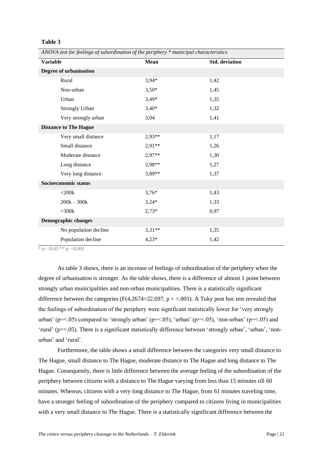#### **Table 3**

*ANOVA test for feelings of subordination of the periphery \* municipal characteristics* 

| <b>Variable</b>            |                              | Mean     | <b>Std.</b> deviation |
|----------------------------|------------------------------|----------|-----------------------|
|                            | Degree of urbanisation       |          |                       |
|                            | Rural                        | $3,94*$  | 1,42                  |
|                            | Non-urban                    | $3,50*$  | 1,45                  |
|                            | Urban                        | $3,49*$  | 1,35                  |
|                            | Strongly Urban               | $3,40*$  | 1,32                  |
|                            | Very strongly urban          | 3,04     | 1,41                  |
|                            | <b>Distance to The Hague</b> |          |                       |
|                            | Very small distance          | $2,93**$ | 1,17                  |
|                            | Small distance               | $2,91**$ | 1,26                  |
|                            | Moderate distance            | $2,97**$ | 1,30                  |
|                            | Long distance                | 2,98**   | 1,27                  |
|                            | Very long distance           | 3,89**   | 1,37                  |
| Socioeconomic status       |                              |          |                       |
|                            | $<$ 200 $k$                  | $3,76*$  | 1,43                  |
|                            | $200k - 300k$                | $3,24*$  | 1,33                  |
|                            | $>300k$                      | $2,73*$  | 0,97                  |
| <b>Demographic changes</b> |                              |          |                       |
|                            | No population decline        | $3,31**$ | 1,35                  |
|                            | Population decline           | $4,23*$  | 1,42                  |

\* p;  $<0.05$  \*\* p;  $<0.001$ 

As table 3 shows, there is an increase of feelings of subordination of the periphery when the degree of urbanisation is stronger. As the table shows, there is a difference of almost 1 point between strongly urban municipalities and non-urban municipalities. There is a statistically significant difference between the categories (F(4,2674=22.697, p = <.001). A Tuky post hoc test revealed that the feelings of subordination of the periphery were significant statistically lower for 'very strongly urban' (p=<.05) compared to 'strongly urban' (p=<.05), 'urban' (p=<.05), 'non-urban' (p=<.05) and 'rural' (p=<.05). There is a significant statistically difference between 'strongly urban', 'urban', 'nonurban' and 'rural'.

Furthermore, the table shows a small difference between the categories very small distance to The Hague, small distance to The Hague, moderate distance to The Hague and long distance to The Hague. Consequently, there is little difference between the average feeling of the subordination of the periphery between citizens with a distance to The Hague varying from less than 15 minutes till 60 minutes. Whereas, citizens with a very long distance to The Hague, from 61 minutes traveling time, have a stronger feeling of subordination of the periphery compared to citizens living in municipalities with a very small distance to The Hague. There is a statistically significant difference between the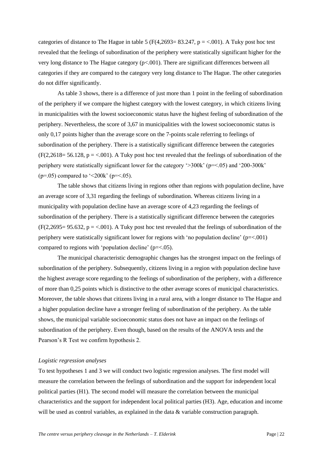categories of distance to The Hague in table 5 (F(4,2693= 83.247, p = <.001). A Tuky post hoc test revealed that the feelings of subordination of the periphery were statistically significant higher for the very long distance to The Hague category (p<.001). There are significant differences between all categories if they are compared to the category very long distance to The Hague. The other categories do not differ significantly.

As table 3 shows, there is a difference of just more than 1 point in the feeling of subordination of the periphery if we compare the highest category with the lowest category, in which citizens living in municipalities with the lowest socioeconomic status have the highest feeling of subordination of the periphery. Nevertheless, the score of 3,67 in municipalities with the lowest socioeconomic status is only 0,17 points higher than the average score on the 7-points scale referring to feelings of subordination of the periphery. There is a statistically significant difference between the categories  $(F(2,2618=56.128, p = <.001)$ . A Tuky post hoc test revealed that the feelings of subordination of the periphery were statistically significant lower for the category '>300k' (p=<.05) and '200-300k' ( $p=.05$ ) compared to '<200k' ( $p=<.05$ ).

The table shows that citizens living in regions other than regions with population decline, have an average score of 3,31 regarding the feelings of subordination. Whereas citizens living in a municipality with population decline have an average score of 4,23 regarding the feelings of subordination of the periphery. There is a statistically significant difference between the categories  $(F(2,2695= 95.632, p = < .001)$ . A Tuky post hoc test revealed that the feelings of subordination of the periphery were statistically significant lower for regions with 'no population decline' (p=<.001) compared to regions with 'population decline' ( $p = < 0.05$ ).

The municipal characteristic demographic changes has the strongest impact on the feelings of subordination of the periphery. Subsequently, citizens living in a region with population decline have the highest average score regarding to the feelings of subordination of the periphery, with a difference of more than 0,25 points which is distinctive to the other average scores of municipal characteristics. Moreover, the table shows that citizens living in a rural area, with a longer distance to The Hague and a higher population decline have a stronger feeling of subordination of the periphery. As the table shows, the municipal variable socioeconomic status does not have an impact on the feelings of subordination of the periphery. Even though, based on the results of the ANOVA tests and the Pearson's R Test we confirm hypothesis 2.

#### *Logistic regression analyses*

To test hypotheses 1 and 3 we will conduct two logistic regression analyses. The first model will measure the correlation between the feelings of subordination and the support for independent local political parties (H1). The second model will measure the correlation between the municipal characteristics and the support for independent local political parties (H3). Age, education and income will be used as control variables, as explained in the data & variable construction paragraph.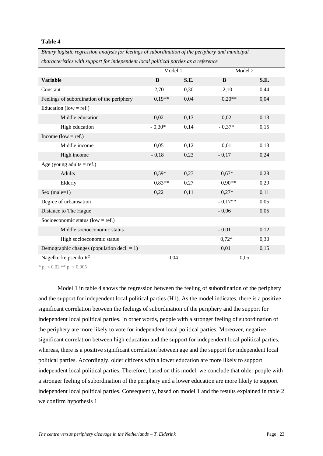#### **Table 4**

| sinary roxishe rexression anarysis for feeings of suboramanon of the periphery anarmaneipal |          |      |           |      |  |  |  |
|---------------------------------------------------------------------------------------------|----------|------|-----------|------|--|--|--|
| characteristics with support for independent local political parties as a reference         |          |      |           |      |  |  |  |
|                                                                                             | Model 1  |      | Model 2   |      |  |  |  |
| <b>Variable</b>                                                                             | B        | S.E. | B         | S.E. |  |  |  |
| Constant                                                                                    | $-2,70$  | 0,30 | $-2,10$   | 0,44 |  |  |  |
| Feelings of subordination of the periphery                                                  | $0,19**$ | 0,04 | $0,20**$  | 0,04 |  |  |  |
| Education (low = ref.)                                                                      |          |      |           |      |  |  |  |
| Middle education                                                                            | 0,02     | 0,13 | 0,02      | 0,13 |  |  |  |
| High education                                                                              | $-0.30*$ | 0,14 | $-0,37*$  | 0,15 |  |  |  |
| Income (low = ref.)                                                                         |          |      |           |      |  |  |  |
| Middle income                                                                               | 0,05     | 0,12 | 0,01      | 0,13 |  |  |  |
| High income                                                                                 | $-0,18$  | 0,23 | $-0,17$   | 0,24 |  |  |  |
| Age (young adults = ref.)                                                                   |          |      |           |      |  |  |  |
| Adults                                                                                      | $0.59*$  | 0,27 | $0,67*$   | 0,28 |  |  |  |
| Elderly                                                                                     | $0.83**$ | 0,27 | $0.90**$  | 0,29 |  |  |  |
| Sex (male= $1$ )                                                                            | 0,22     | 0,11 | $0,27*$   | 0,11 |  |  |  |
| Degree of urbanisation                                                                      |          |      | $-0.17**$ | 0,05 |  |  |  |
| Distance to The Hague                                                                       |          |      | $-0,06$   | 0,05 |  |  |  |
| Socioeconomic status ( $low = ref.$ )                                                       |          |      |           |      |  |  |  |
| Middle socioeconomic status                                                                 |          |      | $-0,01$   | 0,12 |  |  |  |
| High socioeconomic status                                                                   |          |      | $0,72*$   | 0,30 |  |  |  |
| Demographic changes (population decl. $= 1$ )                                               |          |      | 0,01      | 0,15 |  |  |  |
| Nagelkerke pseudo $R^2$                                                                     | 0,04     |      | 0,05      |      |  |  |  |

*Binary logistic regression analysis for feelings of subordination of the periphery and municipal* 

\* p;  $< 0.02$  \*\* p;  $< 0.005$ 

Model 1 in table 4 shows the regression between the feeling of subordination of the periphery and the support for independent local political parties (H1). As the model indicates, there is a positive significant correlation between the feelings of subordination of the periphery and the support for independent local political parties. In other words, people with a stronger feeling of subordination of the periphery are more likely to vote for independent local political parties. Moreover, negative significant correlation between high education and the support for independent local political parties, whereas, there is a positive significant correlation between age and the support for independent local political parties. Accordingly, older citizens with a lower education are more likely to support independent local political parties. Therefore, based on this model, we conclude that older people with a stronger feeling of subordination of the periphery and a lower education are more likely to support independent local political parties. Consequently, based on model 1 and the results explained in table 2 we confirm hypothesis 1.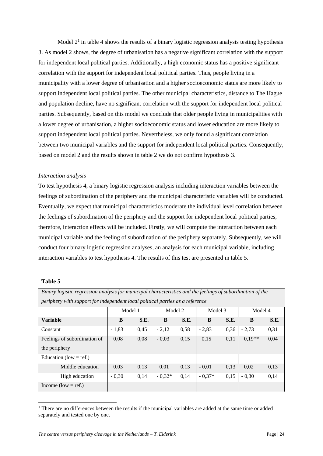Model  $2<sup>1</sup>$  in table 4 shows the results of a binary logistic regression analysis testing hypothesis 3. As model 2 shows, the degree of urbanisation has a negative significant correlation with the support for independent local political parties. Additionally, a high economic status has a positive significant correlation with the support for independent local political parties. Thus, people living in a municipality with a lower degree of urbanisation and a higher socioeconomic status are more likely to support independent local political parties. The other municipal characteristics, distance to The Hague and population decline, have no significant correlation with the support for independent local political parties. Subsequently, based on this model we conclude that older people living in municipalities with a lower degree of urbanisation, a higher socioeconomic status and lower education are more likely to support independent local political parties. Nevertheless, we only found a significant correlation between two municipal variables and the support for independent local political parties. Consequently, based on model 2 and the results shown in table 2 we do not confirm hypothesis 3.

#### *Interaction analysis*

To test hypothesis 4, a binary logistic regression analysis including interaction variables between the feelings of subordination of the periphery and the municipal characteristic variables will be conducted. Eventually, we expect that municipal characteristics moderate the individual level correlation between the feelings of subordination of the periphery and the support for independent local political parties, therefore, interaction effects will be included. Firstly, we will compute the interaction between each municipal variable and the feeling of subordination of the periphery separately. Subsequently, we will conduct four binary logistic regression analyses, an analysis for each municipal variable, including interaction variables to test hypothesis 4. The results of this test are presented in table 5.

#### **Table 5**

*Binary logistic regression analysis for municipal characteristics and the feelings of subordination of the periphery with support for independent local political parties as a reference*

|                              | Model 1 |      | Model 2  |      | Model 3  |      | Model 4  |      |
|------------------------------|---------|------|----------|------|----------|------|----------|------|
| <b>Variable</b>              | B       | S.E. | B        | S.E. | B        | S.E. | B        | S.E. |
| Constant                     | $-1,83$ | 0,45 | $-2,12$  | 0,58 | $-2,83$  | 0,36 | $-2,73$  | 0,31 |
| Feelings of subordination of | 0,08    | 0,08 | $-0.03$  | 0,15 | 0,15     | 0,11 | $0.19**$ | 0,04 |
| the periphery                |         |      |          |      |          |      |          |      |
| Education (low = ref.)       |         |      |          |      |          |      |          |      |
| Middle education             | 0,03    | 0,13 | 0,01     | 0,13 | $-0.01$  | 0,13 | 0,02     | 0,13 |
| High education               | $-0,30$ | 0,14 | $-0.32*$ | 0,14 | $-0.37*$ | 0,15 | $-0,30$  | 0,14 |
| Income (low = ref.)          |         |      |          |      |          |      |          |      |

 $1$  There are no differences between the results if the municipal variables are added at the same time or added separately and tested one by one.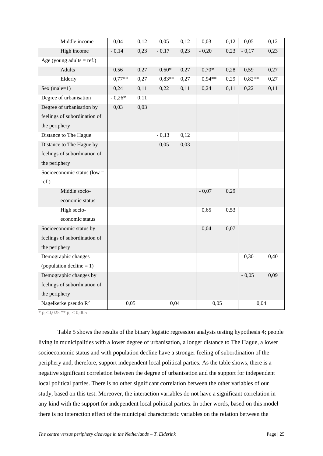| Middle income                 | 0,04     | 0,12 | 0,05     | 0,12 | 0,03     | 0,12 | 0,05     | 0,12 |
|-------------------------------|----------|------|----------|------|----------|------|----------|------|
| High income                   | $-0,14$  | 0,23 | $-0,17$  | 0,23 | $-0,20$  | 0,23 | $-0,17$  | 0,23 |
| Age (young adults = ref.)     |          |      |          |      |          |      |          |      |
| Adults                        | 0,56     | 0,27 | $0,60*$  | 0,27 | $0,70*$  | 0,28 | 0,59     | 0,27 |
| Elderly                       | $0.77**$ | 0,27 | $0.83**$ | 0,27 | $0.94**$ | 0,29 | $0,82**$ | 0,27 |
| Sex (male= $1$ )              | 0,24     | 0,11 | 0,22     | 0,11 | 0,24     | 0,11 | 0,22     | 0,11 |
| Degree of urbanisation        | $-0,26*$ | 0,11 |          |      |          |      |          |      |
| Degree of urbanisation by     | 0,03     | 0,03 |          |      |          |      |          |      |
| feelings of subordination of  |          |      |          |      |          |      |          |      |
| the periphery                 |          |      |          |      |          |      |          |      |
| Distance to The Hague         |          |      | $-0,13$  | 0,12 |          |      |          |      |
| Distance to The Hague by      |          |      | 0,05     | 0,03 |          |      |          |      |
| feelings of subordination of  |          |      |          |      |          |      |          |      |
| the periphery                 |          |      |          |      |          |      |          |      |
| Socioeconomic status (low $=$ |          |      |          |      |          |      |          |      |
| ref.)                         |          |      |          |      |          |      |          |      |
| Middle socio-                 |          |      |          |      | $-0,07$  | 0,29 |          |      |
| economic status               |          |      |          |      |          |      |          |      |
| High socio-                   |          |      |          |      | 0,65     | 0,53 |          |      |
| economic status               |          |      |          |      |          |      |          |      |
| Socioeconomic status by       |          |      |          |      | 0,04     | 0,07 |          |      |
| feelings of subordination of  |          |      |          |      |          |      |          |      |
| the periphery                 |          |      |          |      |          |      |          |      |
| Demographic changes           |          |      |          |      |          |      | 0,30     | 0,40 |
| (population decline $= 1$ )   |          |      |          |      |          |      |          |      |
| Demographic changes by        |          |      |          |      |          |      | $-0,05$  | 0,09 |
| feelings of subordination of  |          |      |          |      |          |      |          |      |
| the periphery                 |          |      |          |      |          |      |          |      |
| Nagelkerke pseudo $R^2$       | 0,05     |      | 0,04     |      | 0,05     |      | 0,04     |      |

\* p; $<$ 0,025 \*\* p;  $<$  0,005

Table 5 shows the results of the binary logistic regression analysis testing hypothesis 4; people living in municipalities with a lower degree of urbanisation, a longer distance to The Hague, a lower socioeconomic status and with population decline have a stronger feeling of subordination of the periphery and, therefore, support independent local political parties. As the table shows, there is a negative significant correlation between the degree of urbanisation and the support for independent local political parties. There is no other significant correlation between the other variables of our study, based on this test. Moreover, the interaction variables do not have a significant correlation in any kind with the support for independent local political parties. In other words, based on this model there is no interaction effect of the municipal characteristic variables on the relation between the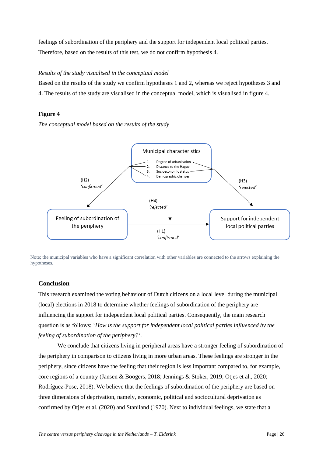feelings of subordination of the periphery and the support for independent local political parties. Therefore, based on the results of this test, we do not confirm hypothesis 4.

# *Results of the study visualised in the conceptual model*

Based on the results of the study we confirm hypotheses 1 and 2, whereas we reject hypotheses 3 and 4. The results of the study are visualised in the conceptual model, which is visualised in figure 4.

#### **Figure 4**

*The conceptual model based on the results of the study*



Note; the municipal variables who have a significant correlation with other variables are connected to the arrows explaining the hypotheses.

# <span id="page-25-0"></span>**Conclusion**

This research examined the voting behaviour of Dutch citizens on a local level during the municipal (local) elections in 2018 to determine whether feelings of subordination of the periphery are influencing the support for independent local political parties. Consequently, the main research question is as follows; '*How is the support for independent local political parties influenced by the feeling of subordination of the periphery?*'.

We conclude that citizens living in peripheral areas have a stronger feeling of subordination of the periphery in comparison to citizens living in more urban areas. These feelings are stronger in the periphery, since citizens have the feeling that their region is less important compared to, for example, core regions of a country (Jansen & Boogers, 2018; Jennings & Stoker, 2019; Otjes et al., 2020; Rodríguez-Pose, 2018). We believe that the feelings of subordination of the periphery are based on three dimensions of deprivation, namely, economic, political and sociocultural deprivation as confirmed by Otjes et al. (2020) and Staniland (1970). Next to individual feelings, we state that a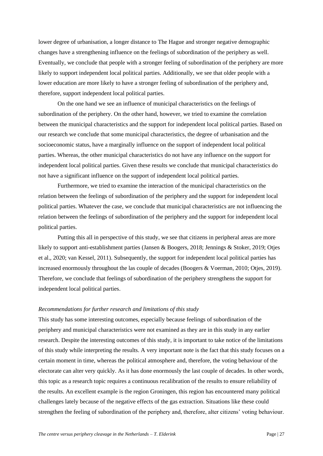lower degree of urbanisation, a longer distance to The Hague and stronger negative demographic changes have a strengthening influence on the feelings of subordination of the periphery as well. Eventually, we conclude that people with a stronger feeling of subordination of the periphery are more likely to support independent local political parties. Additionally, we see that older people with a lower education are more likely to have a stronger feeling of subordination of the periphery and, therefore, support independent local political parties.

On the one hand we see an influence of municipal characteristics on the feelings of subordination of the periphery. On the other hand, however, we tried to examine the correlation between the municipal characteristics and the support for independent local political parties. Based on our research we conclude that some municipal characteristics, the degree of urbanisation and the socioeconomic status, have a marginally influence on the support of independent local political parties. Whereas, the other municipal characteristics do not have any influence on the support for independent local political parties. Given these results we conclude that municipal characteristics do not have a significant influence on the support of independent local political parties.

Furthermore, we tried to examine the interaction of the municipal characteristics on the relation between the feelings of subordination of the periphery and the support for independent local political parties. Whatever the case, we conclude that municipal characteristics are not influencing the relation between the feelings of subordination of the periphery and the support for independent local political parties.

Putting this all in perspective of this study, we see that citizens in peripheral areas are more likely to support anti-establishment parties (Jansen & Boogers, 2018; Jennings & Stoker, 2019; Otjes et al., 2020; van Kessel, 2011). Subsequently, the support for independent local political parties has increased enormously throughout the las couple of decades (Boogers & Voerman, 2010; Otjes, 2019). Therefore, we conclude that feelings of subordination of the periphery strengthens the support for independent local political parties.

#### *Recommendations for further research and limitations of this study*

This study has some interesting outcomes, especially because feelings of subordination of the periphery and municipal characteristics were not examined as they are in this study in any earlier research. Despite the interesting outcomes of this study, it is important to take notice of the limitations of this study while interpreting the results. A very important note is the fact that this study focuses on a certain moment in time, whereas the political atmosphere and, therefore, the voting behaviour of the electorate can alter very quickly. As it has done enormously the last couple of decades. In other words, this topic as a research topic requires a continuous recalibration of the results to ensure reliability of the results. An excellent example is the region Groningen, this region has encountered many political challenges lately because of the negative effects of the gas extraction. Situations like these could strengthen the feeling of subordination of the periphery and, therefore, alter citizens' voting behaviour.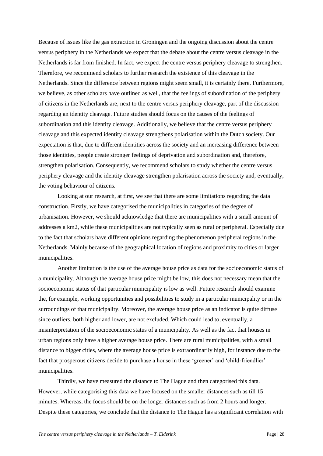Because of issues like the gas extraction in Groningen and the ongoing discussion about the centre versus periphery in the Netherlands we expect that the debate about the centre versus cleavage in the Netherlands is far from finished. In fact, we expect the centre versus periphery cleavage to strengthen. Therefore, we recommend scholars to further research the existence of this cleavage in the Netherlands. Since the difference between regions might seem small, it is certainly there. Furthermore, we believe, as other scholars have outlined as well, that the feelings of subordination of the periphery of citizens in the Netherlands are, next to the centre versus periphery cleavage, part of the discussion regarding an identity cleavage. Future studies should focus on the causes of the feelings of subordination and this identity cleavage. Additionally, we believe that the centre versus periphery cleavage and this expected identity cleavage strengthens polarisation within the Dutch society. Our expectation is that, due to different identities across the society and an increasing difference between those identities, people create stronger feelings of deprivation and subordination and, therefore, strengthen polarisation. Consequently, we recommend scholars to study whether the centre versus periphery cleavage and the identity cleavage strengthen polarisation across the society and, eventually, the voting behaviour of citizens.

Looking at our research, at first, we see that there are some limitations regarding the data construction. Firstly, we have categorised the municipalities in categories of the degree of urbanisation. However, we should acknowledge that there are municipalities with a small amount of addresses a km2, while these municipalities are not typically seen as rural or peripheral. Especially due to the fact that scholars have different opinions regarding the phenomenon peripheral regions in the Netherlands. Mainly because of the geographical location of regions and proximity to cities or larger municipalities.

Another limitation is the use of the average house price as data for the socioeconomic status of a municipality. Although the average house price might be low, this does not necessary mean that the socioeconomic status of that particular municipality is low as well. Future research should examine the, for example, working opportunities and possibilities to study in a particular municipality or in the surroundings of that municipality. Moreover, the average house price as an indicator is quite diffuse since outliers, both higher and lower, are not excluded. Which could lead to, eventually, a misinterpretation of the socioeconomic status of a municipality. As well as the fact that houses in urban regions only have a higher average house price. There are rural municipalities, with a small distance to bigger cities, where the average house price is extraordinarily high, for instance due to the fact that prosperous citizens decide to purchase a house in these 'greener' and 'child-friendlier' municipalities.

Thirdly, we have measured the distance to The Hague and then categorised this data. However, while categorising this data we have focused on the smaller distances such as till 15 minutes. Whereas, the focus should be on the longer distances such as from 2 hours and longer. Despite these categories, we conclude that the distance to The Hague has a significant correlation with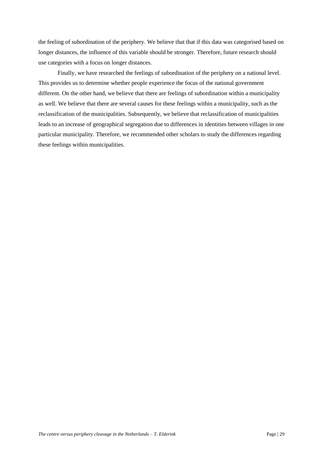the feeling of subordination of the periphery. We believe that that if this data was categorised based on longer distances, the influence of this variable should be stronger. Therefore, future research should use categories with a focus on longer distances.

Finally, we have researched the feelings of subordination of the periphery on a national level. This provides us to determine whether people experience the focus of the national government different. On the other hand, we believe that there are feelings of subordination within a municipality as well. We believe that there are several causes for these feelings within a municipality, such as the reclassification of the municipalities. Subsequently, we believe that reclassification of municipalities leads to an increase of geographical segregation due to differences in identities between villages in one particular municipality. Therefore, we recommended other scholars to study the differences regarding these feelings within municipalities.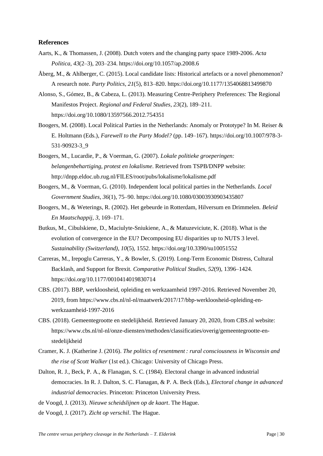#### <span id="page-29-0"></span>**References**

- Aarts, K., & Thomassen, J. (2008). Dutch voters and the changing party space 1989-2006. *Acta Politica*, *43*(2–3), 203–234. https://doi.org/10.1057/ap.2008.6
- Åberg, M., & Ahlberger, C. (2015). Local candidate lists: Historical artefacts or a novel phenomenon? A research note. *Party Politics*, *21*(5), 813–820. https://doi.org/10.1177/1354068813499870
- Alonso, S., Gómez, B., & Cabeza, L. (2013). Measuring Centre-Periphery Preferences: The Regional Manifestos Project. *Regional and Federal Studies*, *23*(2), 189–211. https://doi.org/10.1080/13597566.2012.754351
- Boogers, M. (2008). Local Political Parties in the Netherlands: Anomaly or Prototype? In M. Reiser & E. Holtmann (Eds.), *Farewell to the Party Model?* (pp. 149–167). https://doi.org/10.1007/978-3- 531-90923-3\_9
- Boogers, M., Lucardie, P., & Voerman, G. (2007). *Lokale politieke groeperingen: belangenbehartiging, protest en lokalisme*. Retrieved from TSPB/DNPP website: http://dnpp.eldoc.ub.rug.nl/FILES/root/pubs/lokalisme/lokalisme.pdf
- Boogers, M., & Voerman, G. (2010). Independent local political parties in the Netherlands. *Local Government Studies*, *36*(1), 75–90. https://doi.org/10.1080/03003930903435807
- Boogers, M., & Weterings, R. (2002). Het gebeurde in Rotterdam, Hilversum en Drimmelen. *Beleid En Maatschappij*, *3*, 169–171.
- Butkus, M., Cibulskiene, D., Maciulyte-Sniukiene, A., & Matuzeviciute, K. (2018). What is the evolution of convergence in the EU? Decomposing EU disparities up to NUTS 3 level. *Sustainability (Switzerland)*, *10*(5), 1552. https://doi.org/10.3390/su10051552
- Carreras, M., Irepoglu Carreras, Y., & Bowler, S. (2019). Long-Term Economic Distress, Cultural Backlash, and Support for Brexit. *Comparative Political Studies*, *52*(9), 1396–1424. https://doi.org/10.1177/0010414019830714
- CBS. (2017). BBP, werkloosheid, opleiding en werkzaamheid 1997-2016. Retrieved November 20, 2019, from https://www.cbs.nl/nl-nl/maatwerk/2017/17/bbp-werkloosheid-opleiding-enwerkzaamheid-1997-2016
- CBS. (2018). Gemeentegrootte en stedelijkheid. Retrieved January 20, 2020, from CBS.nl website: https://www.cbs.nl/nl-nl/onze-diensten/methoden/classificaties/overig/gemeentegrootte-enstedelijkheid
- Cramer, K. J. (Katherine J. (2016). *The politics of resentment : rural consciousness in Wisconsin and the rise of Scott Walker* (1st ed.). Chicago: University of Chicago Press.
- Dalton, R. J., Beck, P. A., & Flanagan, S. C. (1984). Electoral change in advanced industrial democracies. In R. J. Dalton, S. C. Flanagan, & P. A. Beck (Eds.), *Electoral change in advanced industrial democracies*. Princeton: Princeton University Press.
- de Voogd, J. (2013). *Nieuwe scheidslijnen op de kaart*. The Hague.
- de Voogd, J. (2017). *Zicht op verschil*. The Hague.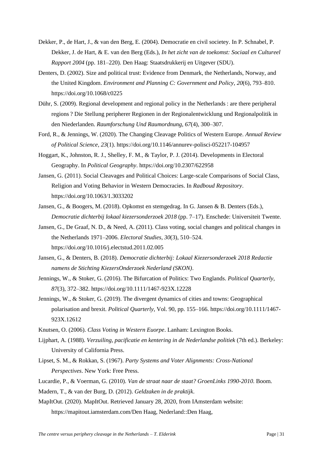- Dekker, P., de Hart, J., & van den Berg, E. (2004). Democratie en civil societey. In P. Schnabel, P. Dekker, J. de Hart, & E. van den Berg (Eds.), *In het zicht van de toekomst: Sociaal en Cultureel Rapport 2004* (pp. 181–220). Den Haag: Staatsdrukkerij en Uitgever (SDU).
- Denters, D. (2002). Size and political trust: Evidence from Denmark, the Netherlands, Norway, and the United Kingdom. *Environment and Planning C: Government and Policy*, *20*(6), 793–810. https://doi.org/10.1068/c0225
- Dühr, S. (2009). Regional development and regional policy in the Netherlands : are there peripheral regions ? Die Stellung peripherer Regionen in der Regionalentwicklung und Regionalpolitik in den Niederlanden. *Raumforschung Und Raumordnung*, *67*(4), 300–307.
- Ford, R., & Jennings, W. (2020). The Changing Cleavage Politics of Western Europe. *Annual Review of Political Science*, *23*(1). https://doi.org/10.1146/annurev-polisci-052217-104957
- Hoggart, K., Johnston, R. J., Shelley, F. M., & Taylor, P. J. (2014). Developments in Electoral Geography. In *Political Geography*. https://doi.org/10.2307/622958
- Jansen, G. (2011). Social Cleavages and Political Choices: Large-scale Comparisons of Social Class, Religion and Voting Behavior in Western Democracies. In *Radboud Repository*. https://doi.org/10.1063/1.3033202
- Jansen, G., & Boogers, M. (2018). Opkomst en stemgedrag. In G. Jansen & B. Denters (Eds.), *Democratie dichterbij lokaal kiezersonderzoek 2018* (pp. 7–17). Enschede: Universiteit Twente.
- Jansen, G., De Graaf, N. D., & Need, A. (2011). Class voting, social changes and political changes in the Netherlands 1971–2006. *Electoral Studies*, *30*(3), 510–524. https://doi.org/10.1016/j.electstud.2011.02.005
- Jansen, G., & Denters, B. (2018). *Democratie dichterbij: Lokaal Kiezersonderzoek 2018 Redactie namens de Stichting KiezersOnderzoek Nederland (SKON)*.
- Jennings, W., & Stoker, G. (2016). The Bifurcation of Politics: Two Englands. *Political Quarterly*, *87*(3), 372–382. https://doi.org/10.1111/1467-923X.12228
- Jennings, W., & Stoker, G. (2019). The divergent dynamics of cities and towns: Geographical polarisation and brexit. *Political Quarterly*, Vol. 90, pp. 155–166. https://doi.org/10.1111/1467- 923X.12612
- Knutsen, O. (2006). *Class Voting in Western Euorpe*. Lanham: Lexington Books.
- Lijphart, A. (1988). *Verzuiling, pacificatie en kentering in de Nederlandse politiek* (7th ed.). Berkeley: University of California Press.
- Lipset, S. M., & Rokkan, S. (1967). *Party Systems and Voter Alignments: Cross-National Perspectives*. New York: Free Press.
- Lucardie, P., & Voerman, G. (2010). *Van de straat naar de staat? GroenLinks 1990-2010*. Boom.
- Madern, T., & van der Burg, D. (2012). *Geldzaken in de praktijk*.
- MapItOut. (2020). MapItOut. Retrieved January 28, 2020, from IAmsterdam website: https://mapitout.iamsterdam.com/Den Haag, Nederland::Den Haag,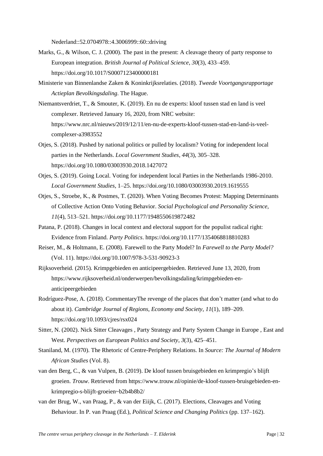Nederland::52.0704978::4.3006999::60::driving

- Marks, G., & Wilson, C. J. (2000). The past in the present: A cleavage theory of party response to European integration. *British Journal of Political Science*, *30*(3), 433–459. https://doi.org/10.1017/S0007123400000181
- Ministerie van Binnenlandse Zaken & Koninkrijksrelaties. (2018). *Tweede Voortgangsrapportage Actieplan Bevolkingsdaling*. The Hague.
- Niemantsverdriet, T., & Smouter, K. (2019). En nu de experts: kloof tussen stad en land is veel complexer. Retrieved January 16, 2020, from NRC website: https://www.nrc.nl/nieuws/2019/12/11/en-nu-de-experts-kloof-tussen-stad-en-land-is-veelcomplexer-a3983552
- Otjes, S. (2018). Pushed by national politics or pulled by localism? Voting for independent local parties in the Netherlands. *Local Government Studies*, *44*(3), 305–328. https://doi.org/10.1080/03003930.2018.1427072
- Otjes, S. (2019). Going Local. Voting for independent local Parties in the Netherlands 1986-2010. *Local Government Studies*, 1–25. https://doi.org/10.1080/03003930.2019.1619555
- Otjes, S., Stroebe, K., & Postmes, T. (2020). When Voting Becomes Protest: Mapping Determinants of Collective Action Onto Voting Behavior. *Social Psychological and Personality Science*, *11*(4), 513–521. https://doi.org/10.1177/1948550619872482
- Patana, P. (2018). Changes in local context and electoral support for the populist radical right: Evidence from Finland. *Party Politics*. https://doi.org/10.1177/1354068818810283
- Reiser, M., & Holtmann, E. (2008). Farewell to the Party Model? In *Farewell to the Party Model?* (Vol. 11). https://doi.org/10.1007/978-3-531-90923-3
- Rijksoverheid. (2015). Krimpgebieden en anticipeergebieden. Retrieved June 13, 2020, from https://www.rijksoverheid.nl/onderwerpen/bevolkingsdaling/krimpgebieden-enanticipeergebieden
- Rodríguez-Pose, A. (2018). CommentaryThe revenge of the places that don't matter (and what to do about it). *Cambridge Journal of Regions, Economy and Society*, *11*(1), 189–209. https://doi.org/10.1093/cjres/rsx024
- Sitter, N. (2002). Nick Sitter Cleavages , Party Strategy and Party System Change in Europe , East and West. *Perspectives on European Politics and Society*, *3*(3), 425–451.
- Staniland, M. (1970). The Rhetoric of Centre-Periphery Relations. In *Source: The Journal of Modern African Studies* (Vol. 8).
- van den Berg, C., & van Vulpen, B. (2019). De kloof tussen bruisgebieden en krimpregio's blijft groeien. *Trouw*. Retrieved from https://www.trouw.nl/opinie/de-kloof-tussen-bruisgebieden-enkrimpregio-s-blijft-groeien~b2b4b8b2/
- van der Brug, W., van Praag, P., & van der Eiijk, C. (2017). Elections, Cleavages and Voting Behaviour. In P. van Praag (Ed.), *Political Science and Changing Politics* (pp. 137–162).